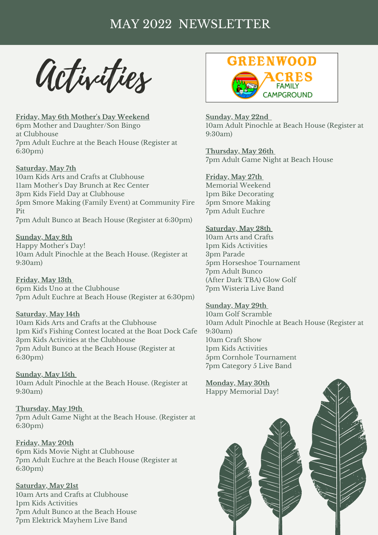# MAY 2022 NEWSLETTER

Activities

#### **Friday, May 6th Mother's Day Weekend**

6pm Mother and Daughter/Son Bingo at Clubhouse 7pm Adult Euchre at the Beach House (Register at 6:30pm)

#### **Saturday, May 7th**

10am Kids Arts and Crafts at Clubhouse 11am Mother's Day Brunch at Rec Center 3pm Kids Field Day at Clubhouse 5pm Smore Making (Family Event) at Community Fire Pit 7pm Adult Bunco at Beach House (Register at 6:30pm)

#### **Sunday, May 8th**

Happy Mother's Day! 10am Adult Pinochle at the Beach House. (Register at 9:30am)

**Friday, May 13th** 6pm Kids Uno at the Clubhouse 7pm Adult Euchre at Beach House (Register at 6:30pm)

#### **Saturday, May 14th**

10am Kids Arts and Crafts at the Clubhouse 1pm Kid's Fishing Contest located at the Boat Dock Cafe 3pm Kids Activities at the Clubhouse 7pm Adult Bunco at the Beach House (Register at 6:30pm)

**Sunday, May 15th** 10am Adult Pinochle at the Beach House. (Register at 9:30am)

**Thursday, May 19th** 7pm Adult Game Night at the Beach House. (Register at 6:30pm)

**Friday, May 20th** 6pm Kids Movie Night at Clubhouse 7pm Adult Euchre at the Beach House (Register at 6:30pm)

**Saturday, May 21st** 10am Arts and Crafts at Clubhouse 1pm Kids Activities 7pm Adult Bunco at the Beach House 7pm Elektrick Mayhem Live Band



**Sunday, May 22nd** 10am Adult Pinochle at Beach House (Register at 9:30am)

**Thursday, May 26th** 7pm Adult Game Night at Beach House

#### **Friday, May 27th**

Memorial Weekend 1pm Bike Decorating 5pm Smore Making 7pm Adult Euchre

#### **Saturday, May 28th**

10am Arts and Crafts 1pm Kids Activities 3pm Parade 5pm Horseshoe Tournament 7pm Adult Bunco (After Dark TBA) Glow Golf 7pm Wisteria Live Band

#### **Sunday, May 29th**

10am Golf Scramble 10am Adult Pinochle at Beach House (Register at 9:30am) 10am Craft Show 1pm Kids Activities 5pm Cornhole Tournament 7pm Category 5 Live Band

**Monday, May 30th** Happy Memorial Day!